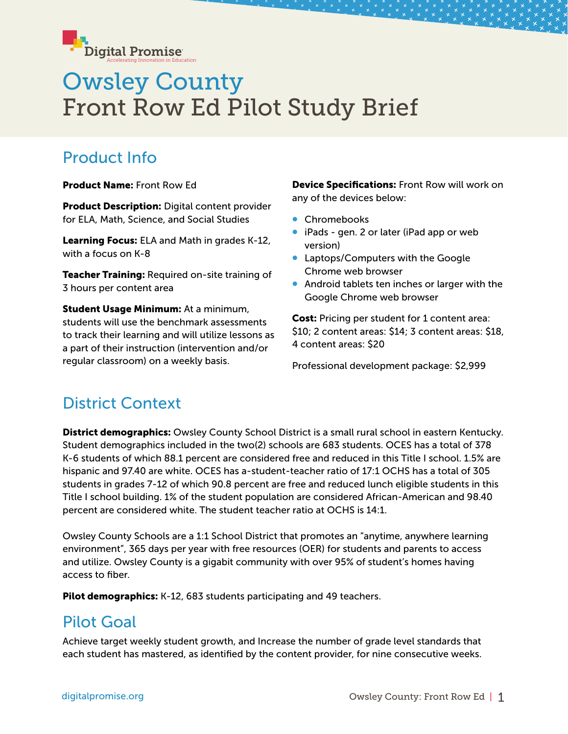

# Owsley County Front Row Ed Pilot Study Brief

### Product Info

Product Name: Front Row Ed

**Product Description:** Digital content provider for ELA, Math, Science, and Social Studies

Learning Focus: ELA and Math in grades K-12, with a focus on K-8

Teacher Training: Required on-site training of 3 hours per content area

**Student Usage Minimum:** At a minimum, students will use the benchmark assessments to track their learning and will utilize lessons as a part of their instruction (intervention and/or regular classroom) on a weekly basis.

Device Specifications: Front Row will work on any of the devices below:

- Chromebooks
- iPads gen. 2 or later (iPad app or web version)
- Laptops/Computers with the Google Chrome web browser
- Android tablets ten inches or larger with the Google Chrome web browser

Cost: Pricing per student for 1 content area: \$10; 2 content areas: \$14; 3 content areas: \$18, 4 content areas: \$20

Professional development package: \$2,999

## District Context

**District demographics:** Owsley County School District is a small rural school in eastern Kentucky. Student demographics included in the two(2) schools are 683 students. OCES has a total of 378 K-6 students of which 88.1 percent are considered free and reduced in this Title I school. 1.5% are hispanic and 97.40 are white. OCES has a-student-teacher ratio of 17:1 OCHS has a total of 305 students in grades 7-12 of which 90.8 percent are free and reduced lunch eligible students in this Title I school building. 1% of the student population are considered African-American and 98.40 percent are considered white. The student teacher ratio at OCHS is 14:1.

Owsley County Schools are a 1:1 School District that promotes an "anytime, anywhere learning environment", 365 days per year with free resources (OER) for students and parents to access and utilize. Owsley County is a gigabit community with over 95% of student's homes having access to fiber.

Pilot demographics: K-12, 683 students participating and 49 teachers.

#### Pilot Goal

Achieve target weekly student growth, and Increase the number of grade level standards that each student has mastered, as identified by the content provider, for nine consecutive weeks.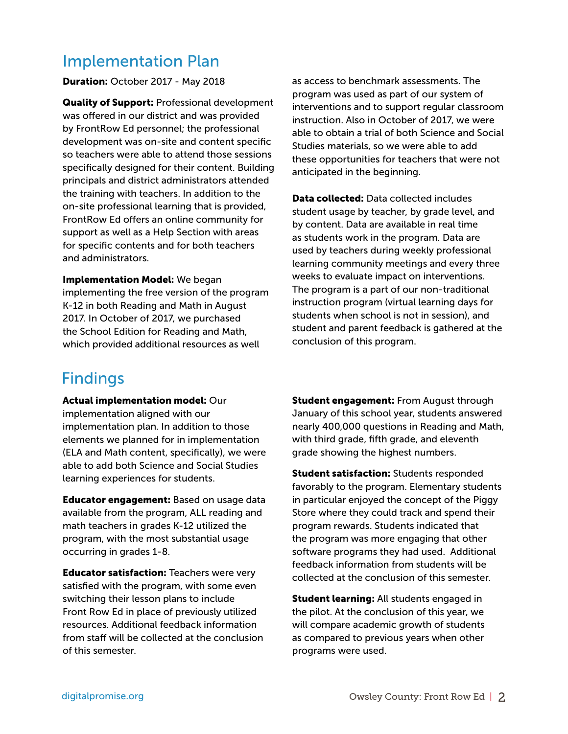#### Implementation Plan

Duration: October 2017 - May 2018

**Quality of Support: Professional development** was offered in our district and was provided by FrontRow Ed personnel; the professional development was on-site and content specific so teachers were able to attend those sessions specifically designed for their content. Building principals and district administrators attended the training with teachers. In addition to the on-site professional learning that is provided, FrontRow Ed offers an online community for support as well as a Help Section with areas for specific contents and for both teachers and administrators.

Implementation Model: We began implementing the free version of the program K-12 in both Reading and Math in August 2017. In October of 2017, we purchased the School Edition for Reading and Math, which provided additional resources as well

#### Findings

Actual implementation model: Our implementation aligned with our implementation plan. In addition to those elements we planned for in implementation (ELA and Math content, specifically), we were able to add both Science and Social Studies learning experiences for students.

**Educator engagement:** Based on usage data available from the program, ALL reading and math teachers in grades K-12 utilized the program, with the most substantial usage occurring in grades 1-8.

**Educator satisfaction: Teachers were very** satisfied with the program, with some even switching their lesson plans to include Front Row Ed in place of previously utilized resources. Additional feedback information from staff will be collected at the conclusion of this semester.

as access to benchmark assessments. The program was used as part of our system of interventions and to support regular classroom instruction. Also in October of 2017, we were able to obtain a trial of both Science and Social Studies materials, so we were able to add these opportunities for teachers that were not anticipated in the beginning.

Data collected: Data collected includes student usage by teacher, by grade level, and by content. Data are available in real time as students work in the program. Data are used by teachers during weekly professional learning community meetings and every three weeks to evaluate impact on interventions. The program is a part of our non-traditional instruction program (virtual learning days for students when school is not in session), and student and parent feedback is gathered at the conclusion of this program.

**Student engagement:** From August through January of this school year, students answered nearly 400,000 questions in Reading and Math, with third grade, fifth grade, and eleventh grade showing the highest numbers.

**Student satisfaction:** Students responded favorably to the program. Elementary students in particular enjoyed the concept of the Piggy Store where they could track and spend their program rewards. Students indicated that the program was more engaging that other software programs they had used. Additional feedback information from students will be collected at the conclusion of this semester.

**Student learning:** All students engaged in the pilot. At the conclusion of this year, we will compare academic growth of students as compared to previous years when other programs were used.